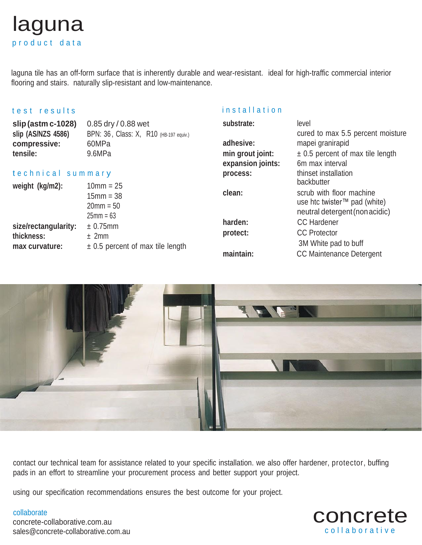# laguna p r o d u c t d a t a

laguna tile has an off-form surface that is inherently durable and wear-resistant. ideal for high-traffic commercial interior flooring and stairs. naturally slip-resistant and low-maintenance.

## test results

### installation

| slip (astm c-1028)<br>slip (AS/NZS 4586)<br>compressive:<br>tensile: | 0.85 dry / 0.88 wet<br>BPN: 36, Class: X, R10 (HB-197 equiv.)<br>60MPa<br>9.6MPa | substrate:<br>adhesive:<br>min grout joint: | level<br>cured to max 5.5 percent moisture<br>mapei granirapid<br>$\pm$ 0.5 percent of max tile length                         |
|----------------------------------------------------------------------|----------------------------------------------------------------------------------|---------------------------------------------|--------------------------------------------------------------------------------------------------------------------------------|
|                                                                      |                                                                                  | expansion joints:                           | 6m max interval                                                                                                                |
| technical summary                                                    |                                                                                  | process:                                    | thinset installation                                                                                                           |
| weight (kg/m2):                                                      | $10mm = 25$<br>$15mm = 38$<br>$20 \text{mm} = 50$<br>$25mm = 63$                 | clean:                                      | backbutter<br>scrub with floor machine<br>use htc twister™ pad (white)<br>neutral detergent (non acidic)<br><b>CC Hardener</b> |
| size/rectangularity:                                                 | ± 0.75mm                                                                         | harden:                                     |                                                                                                                                |
| thickness:<br>max curvature:                                         | ± 2mm<br>$\pm$ 0.5 percent of max tile length                                    | protect:<br>maintain:                       | <b>CC</b> Protector<br>3M White pad to buff<br><b>CC Maintenance Detergent</b>                                                 |



contact our technical team for assistance related to your specific installation. we also offer hardener, protector, buffing pads in an effort to streamline your procurement process and better support your project.

using our specification recommendations ensures the best outcome for your project.

#### collaborate

concrete-collaborative.com.au sales@concrete-collaborative.com.au